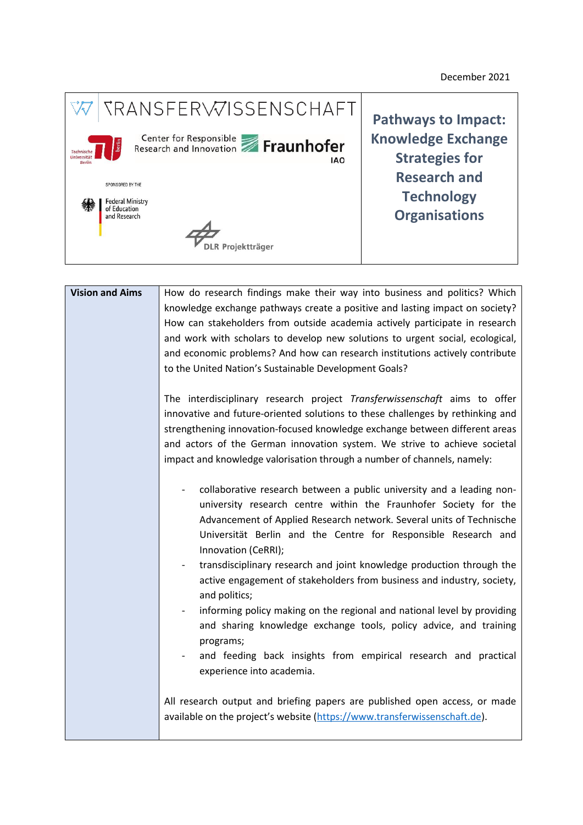December 2021



| <b>Vision and Aims</b> | How do research findings make their way into business and politics? Which                                                                               |
|------------------------|---------------------------------------------------------------------------------------------------------------------------------------------------------|
|                        | knowledge exchange pathways create a positive and lasting impact on society?                                                                            |
|                        | How can stakeholders from outside academia actively participate in research                                                                             |
|                        | and work with scholars to develop new solutions to urgent social, ecological,                                                                           |
|                        | and economic problems? And how can research institutions actively contribute                                                                            |
|                        | to the United Nation's Sustainable Development Goals?                                                                                                   |
|                        |                                                                                                                                                         |
|                        | The interdisciplinary research project Transferwissenschaft aims to offer                                                                               |
|                        | innovative and future-oriented solutions to these challenges by rethinking and                                                                          |
|                        | strengthening innovation-focused knowledge exchange between different areas                                                                             |
|                        | and actors of the German innovation system. We strive to achieve societal                                                                               |
|                        | impact and knowledge valorisation through a number of channels, namely:                                                                                 |
|                        |                                                                                                                                                         |
|                        | collaborative research between a public university and a leading non-                                                                                   |
|                        | university research centre within the Fraunhofer Society for the                                                                                        |
|                        | Advancement of Applied Research network. Several units of Technische                                                                                    |
|                        | Universität Berlin and the Centre for Responsible Research and                                                                                          |
|                        | Innovation (CeRRI);                                                                                                                                     |
|                        | transdisciplinary research and joint knowledge production through the                                                                                   |
|                        | active engagement of stakeholders from business and industry, society,                                                                                  |
|                        | and politics;                                                                                                                                           |
|                        | informing policy making on the regional and national level by providing                                                                                 |
|                        | and sharing knowledge exchange tools, policy advice, and training                                                                                       |
|                        | programs;                                                                                                                                               |
|                        | and feeding back insights from empirical research and practical                                                                                         |
|                        | experience into academia.                                                                                                                               |
|                        |                                                                                                                                                         |
|                        | All research output and briefing papers are published open access, or made<br>available on the project's website (https://www.transferwissenschaft.de). |
|                        |                                                                                                                                                         |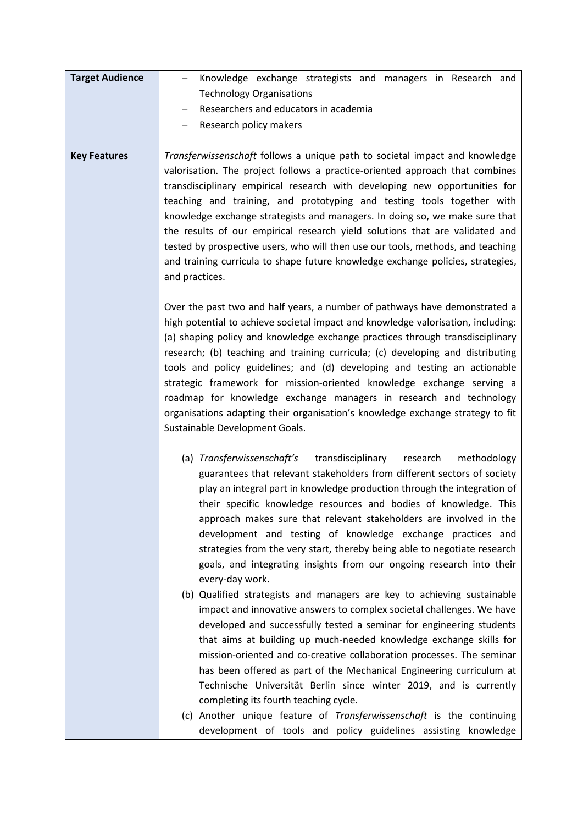| <b>Target Audience</b> | Knowledge exchange strategists and managers in Research and                                                                                                     |
|------------------------|-----------------------------------------------------------------------------------------------------------------------------------------------------------------|
|                        | <b>Technology Organisations</b>                                                                                                                                 |
|                        | Researchers and educators in academia                                                                                                                           |
|                        | Research policy makers                                                                                                                                          |
| <b>Key Features</b>    | Transferwissenschaft follows a unique path to societal impact and knowledge                                                                                     |
|                        | valorisation. The project follows a practice-oriented approach that combines                                                                                    |
|                        | transdisciplinary empirical research with developing new opportunities for                                                                                      |
|                        | teaching and training, and prototyping and testing tools together with                                                                                          |
|                        | knowledge exchange strategists and managers. In doing so, we make sure that                                                                                     |
|                        | the results of our empirical research yield solutions that are validated and<br>tested by prospective users, who will then use our tools, methods, and teaching |
|                        | and training curricula to shape future knowledge exchange policies, strategies,                                                                                 |
|                        | and practices.                                                                                                                                                  |
|                        |                                                                                                                                                                 |
|                        | Over the past two and half years, a number of pathways have demonstrated a                                                                                      |
|                        | high potential to achieve societal impact and knowledge valorisation, including:                                                                                |
|                        | (a) shaping policy and knowledge exchange practices through transdisciplinary                                                                                   |
|                        | research; (b) teaching and training curricula; (c) developing and distributing<br>tools and policy guidelines; and (d) developing and testing an actionable     |
|                        | strategic framework for mission-oriented knowledge exchange serving a                                                                                           |
|                        | roadmap for knowledge exchange managers in research and technology                                                                                              |
|                        | organisations adapting their organisation's knowledge exchange strategy to fit                                                                                  |
|                        | Sustainable Development Goals.                                                                                                                                  |
|                        | (a) Transferwissenschaft's transdisciplinary<br>research<br>methodology                                                                                         |
|                        | guarantees that relevant stakeholders from different sectors of society                                                                                         |
|                        | play an integral part in knowledge production through the integration of                                                                                        |
|                        | their specific knowledge resources and bodies of knowledge. This                                                                                                |
|                        | approach makes sure that relevant stakeholders are involved in the                                                                                              |
|                        | development and testing of knowledge exchange practices and                                                                                                     |
|                        | strategies from the very start, thereby being able to negotiate research                                                                                        |
|                        | goals, and integrating insights from our ongoing research into their<br>every-day work.                                                                         |
|                        | (b) Qualified strategists and managers are key to achieving sustainable                                                                                         |
|                        | impact and innovative answers to complex societal challenges. We have                                                                                           |
|                        | developed and successfully tested a seminar for engineering students                                                                                            |
|                        | that aims at building up much-needed knowledge exchange skills for                                                                                              |
|                        | mission-oriented and co-creative collaboration processes. The seminar                                                                                           |
|                        | has been offered as part of the Mechanical Engineering curriculum at                                                                                            |
|                        | Technische Universität Berlin since winter 2019, and is currently                                                                                               |
|                        | completing its fourth teaching cycle.<br>(c) Another unique feature of Transferwissenschaft is the continuing                                                   |
|                        | development of tools and policy guidelines assisting knowledge                                                                                                  |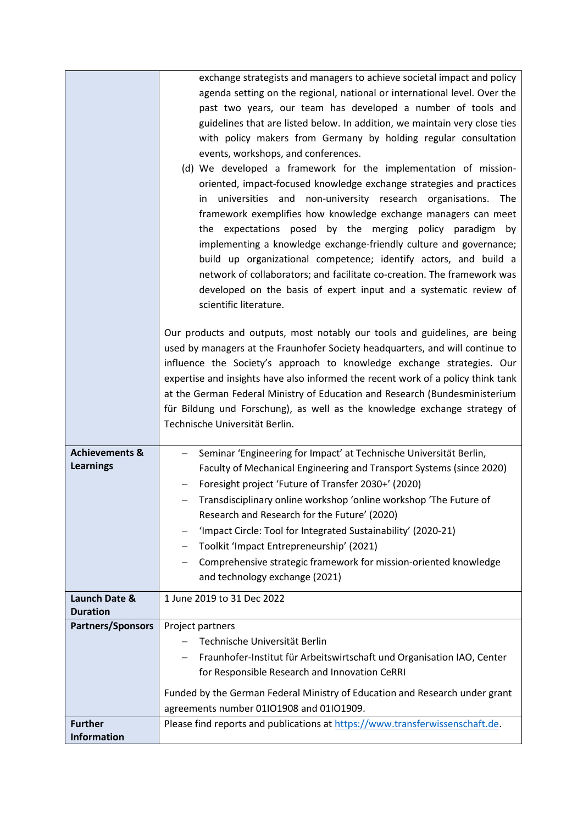|                                               | exchange strategists and managers to achieve societal impact and policy<br>agenda setting on the regional, national or international level. Over the<br>past two years, our team has developed a number of tools and<br>guidelines that are listed below. In addition, we maintain very close ties<br>with policy makers from Germany by holding regular consultation<br>events, workshops, and conferences.<br>(d) We developed a framework for the implementation of mission-<br>oriented, impact-focused knowledge exchange strategies and practices<br>in universities and non-university research organisations. The |
|-----------------------------------------------|---------------------------------------------------------------------------------------------------------------------------------------------------------------------------------------------------------------------------------------------------------------------------------------------------------------------------------------------------------------------------------------------------------------------------------------------------------------------------------------------------------------------------------------------------------------------------------------------------------------------------|
|                                               | framework exemplifies how knowledge exchange managers can meet<br>the expectations posed by the merging policy paradigm by<br>implementing a knowledge exchange-friendly culture and governance;<br>build up organizational competence; identify actors, and build a<br>network of collaborators; and facilitate co-creation. The framework was<br>developed on the basis of expert input and a systematic review of<br>scientific literature.                                                                                                                                                                            |
|                                               | Our products and outputs, most notably our tools and guidelines, are being<br>used by managers at the Fraunhofer Society headquarters, and will continue to<br>influence the Society's approach to knowledge exchange strategies. Our<br>expertise and insights have also informed the recent work of a policy think tank<br>at the German Federal Ministry of Education and Research (Bundesministerium<br>für Bildung und Forschung), as well as the knowledge exchange strategy of<br>Technische Universität Berlin.                                                                                                   |
| <b>Achievements &amp;</b><br><b>Learnings</b> | Seminar 'Engineering for Impact' at Technische Universität Berlin,<br>Faculty of Mechanical Engineering and Transport Systems (since 2020)<br>Foresight project 'Future of Transfer 2030+' (2020)<br>Transdisciplinary online workshop 'online workshop 'The Future of<br>Research and Research for the Future' (2020)<br>'Impact Circle: Tool for Integrated Sustainability' (2020-21)<br>Toolkit 'Impact Entrepreneurship' (2021)<br>$\qquad \qquad -$<br>Comprehensive strategic framework for mission-oriented knowledge<br>and technology exchange (2021)                                                            |
| Launch Date &<br><b>Duration</b>              | 1 June 2019 to 31 Dec 2022                                                                                                                                                                                                                                                                                                                                                                                                                                                                                                                                                                                                |
| <b>Partners/Sponsors</b>                      | Project partners                                                                                                                                                                                                                                                                                                                                                                                                                                                                                                                                                                                                          |
|                                               | Technische Universität Berlin<br>Fraunhofer-Institut für Arbeitswirtschaft und Organisation IAO, Center                                                                                                                                                                                                                                                                                                                                                                                                                                                                                                                   |
|                                               | for Responsible Research and Innovation CeRRI                                                                                                                                                                                                                                                                                                                                                                                                                                                                                                                                                                             |
|                                               | Funded by the German Federal Ministry of Education and Research under grant                                                                                                                                                                                                                                                                                                                                                                                                                                                                                                                                               |
|                                               | agreements number 01IO1908 and 01IO1909.                                                                                                                                                                                                                                                                                                                                                                                                                                                                                                                                                                                  |
| <b>Further</b><br><b>Information</b>          | Please find reports and publications at https://www.transferwissenschaft.de.                                                                                                                                                                                                                                                                                                                                                                                                                                                                                                                                              |